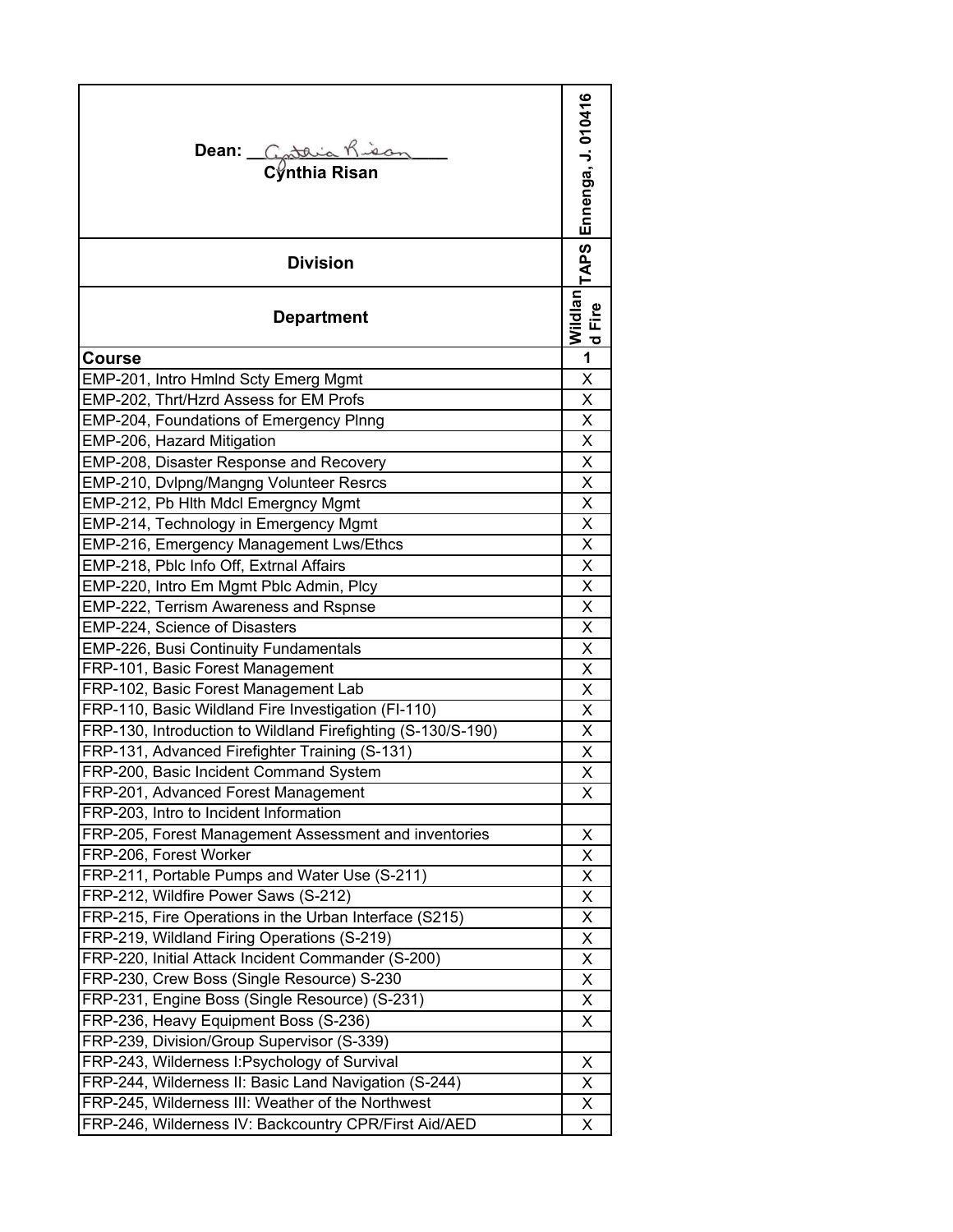| Dean: Costaia Kisa<br>Cynthia Risan                          | Ennenga, J. 010416                         |
|--------------------------------------------------------------|--------------------------------------------|
| <b>Division</b>                                              | <b>TAPS</b>                                |
| <b>Department</b>                                            | Wildlan<br>Fire<br>$\overline{\mathbf{c}}$ |
| <b>Course</b>                                                | 1                                          |
| EMP-201, Intro Hmlnd Scty Emerg Mgmt                         | X                                          |
| EMP-202, Thrt/Hzrd Assess for EM Profs                       | Χ                                          |
| EMP-204, Foundations of Emergency Plnng                      | X                                          |
| EMP-206, Hazard Mitigation                                   | X                                          |
| EMP-208, Disaster Response and Recovery                      | X                                          |
| EMP-210, Dvlpng/Mangng Volunteer Resrcs                      | X                                          |
| EMP-212, Pb Hlth Mdcl Emergncy Mgmt                          | $\overline{\mathsf{x}}$                    |
| EMP-214, Technology in Emergency Mgmt                        | X                                          |
| EMP-216, Emergency Management Lws/Ethcs                      | X                                          |
| EMP-218, Pblc Info Off, Extrnal Affairs                      | X                                          |
| EMP-220, Intro Em Mgmt Pblc Admin, Plcy                      | X                                          |
| EMP-222, Terrism Awareness and Rspnse                        | X                                          |
| EMP-224, Science of Disasters                                | X                                          |
| <b>EMP-226, Busi Continuity Fundamentals</b>                 | X                                          |
| FRP-101, Basic Forest Management                             | X                                          |
| FRP-102, Basic Forest Management Lab                         | Χ                                          |
| FRP-110, Basic Wildland Fire Investigation (FI-110)          | Χ                                          |
| FRP-130, Introduction to Wildland Firefighting (S-130/S-190) | Χ                                          |
| FRP-131, Advanced Firefighter Training (S-131)               | $\overline{\mathsf{x}}$                    |
| FRP-200, Basic Incident Command System                       | X                                          |
| FRP-201, Advanced Forest Management                          | X                                          |
| FRP-203, Intro to Incident Information                       |                                            |
| FRP-205, Forest Management Assessment and inventories        | Χ                                          |
| FRP-206, Forest Worker                                       | Χ                                          |
| FRP-211, Portable Pumps and Water Use (S-211)                | Χ                                          |
| FRP-212, Wildfire Power Saws (S-212)                         | Χ                                          |
| FRP-215, Fire Operations in the Urban Interface (S215)       | X                                          |
| FRP-219, Wildland Firing Operations (S-219)                  | X                                          |
| FRP-220, Initial Attack Incident Commander (S-200)           | X                                          |
| FRP-230, Crew Boss (Single Resource) S-230                   | X                                          |
| FRP-231, Engine Boss (Single Resource) (S-231)               | Χ                                          |
| FRP-236, Heavy Equipment Boss (S-236)                        | X                                          |
| FRP-239, Division/Group Supervisor (S-339)                   |                                            |
| FRP-243, Wilderness I: Psychology of Survival                | X                                          |
| FRP-244, Wilderness II: Basic Land Navigation (S-244)        | Χ                                          |
| FRP-245, Wilderness III: Weather of the Northwest            | Χ                                          |
| FRP-246, Wilderness IV: Backcountry CPR/First Aid/AED        | Χ                                          |
|                                                              |                                            |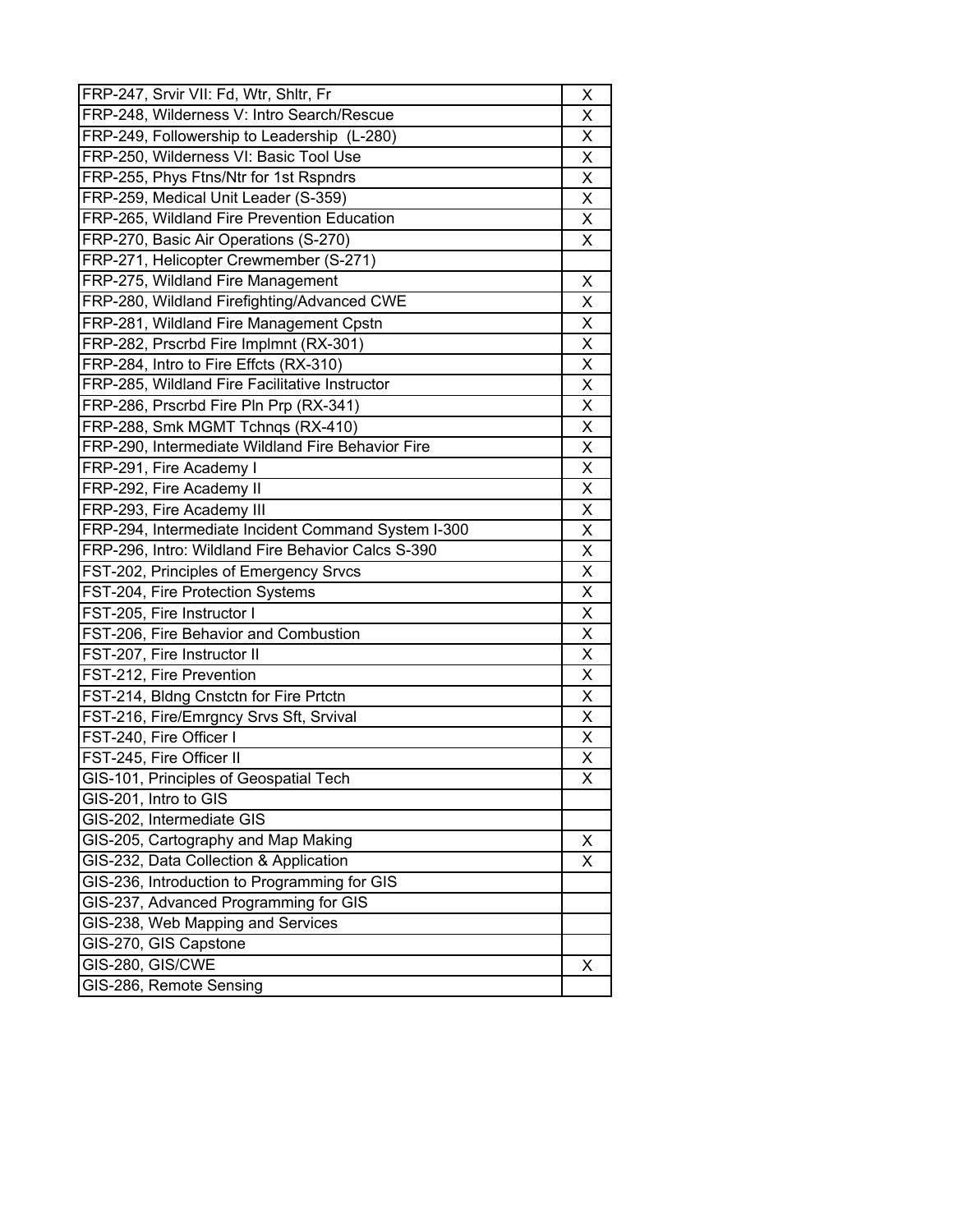| FRP-247, Srvir VII: Fd, Wtr, Shltr, Fr              | Χ |
|-----------------------------------------------------|---|
| FRP-248, Wilderness V: Intro Search/Rescue          | X |
| FRP-249, Followership to Leadership (L-280)         | X |
| FRP-250, Wilderness VI: Basic Tool Use              | X |
| FRP-255, Phys Ftns/Ntr for 1st Rspndrs              | X |
| FRP-259, Medical Unit Leader (S-359)                |   |
| FRP-265, Wildland Fire Prevention Education         | Χ |
| FRP-270, Basic Air Operations (S-270)               | X |
| FRP-271, Helicopter Crewmember (S-271)              |   |
| FRP-275, Wildland Fire Management                   | Χ |
| FRP-280, Wildland Firefighting/Advanced CWE         | Χ |
| FRP-281, Wildland Fire Management Cpstn             | X |
| FRP-282, Prscrbd Fire Implmnt (RX-301)              | X |
| FRP-284, Intro to Fire Effcts (RX-310)              | X |
| FRP-285, Wildland Fire Facilitative Instructor      | X |
| FRP-286, Prscrbd Fire Pln Prp (RX-341)              | Χ |
| FRP-288, Smk MGMT Tchnqs (RX-410)                   | Χ |
| FRP-290, Intermediate Wildland Fire Behavior Fire   | X |
| FRP-291, Fire Academy I                             | Χ |
| FRP-292, Fire Academy II                            | X |
| FRP-293, Fire Academy III                           | X |
| FRP-294, Intermediate Incident Command System I-300 | X |
| FRP-296, Intro: Wildland Fire Behavior Calcs S-390  | X |
| FST-202, Principles of Emergency Srvcs              | Χ |
| FST-204, Fire Protection Systems                    | Χ |
| FST-205, Fire Instructor I                          | X |
| FST-206, Fire Behavior and Combustion               | X |
| FST-207, Fire Instructor II                         | Χ |
| FST-212, Fire Prevention                            | Χ |
| FST-214, Bldng Cnstctn for Fire Prtctn              | X |
|                                                     |   |
| FST-216, Fire/Emrgncy Srvs Sft, Srvival             | Χ |
| FST-240, Fire Officer I                             | X |
| FST-245, Fire Officer II                            | Χ |
| GIS-101, Principles of Geospatial Tech              | X |
| GIS-201, Intro to GIS                               |   |
| GIS-202, Intermediate GIS                           |   |
| GIS-205, Cartography and Map Making                 | X |
| GIS-232, Data Collection & Application              | X |
| GIS-236, Introduction to Programming for GIS        |   |
| GIS-237, Advanced Programming for GIS               |   |
| GIS-238, Web Mapping and Services                   |   |
| GIS-270, GIS Capstone                               |   |
| GIS-280, GIS/CWE                                    | X |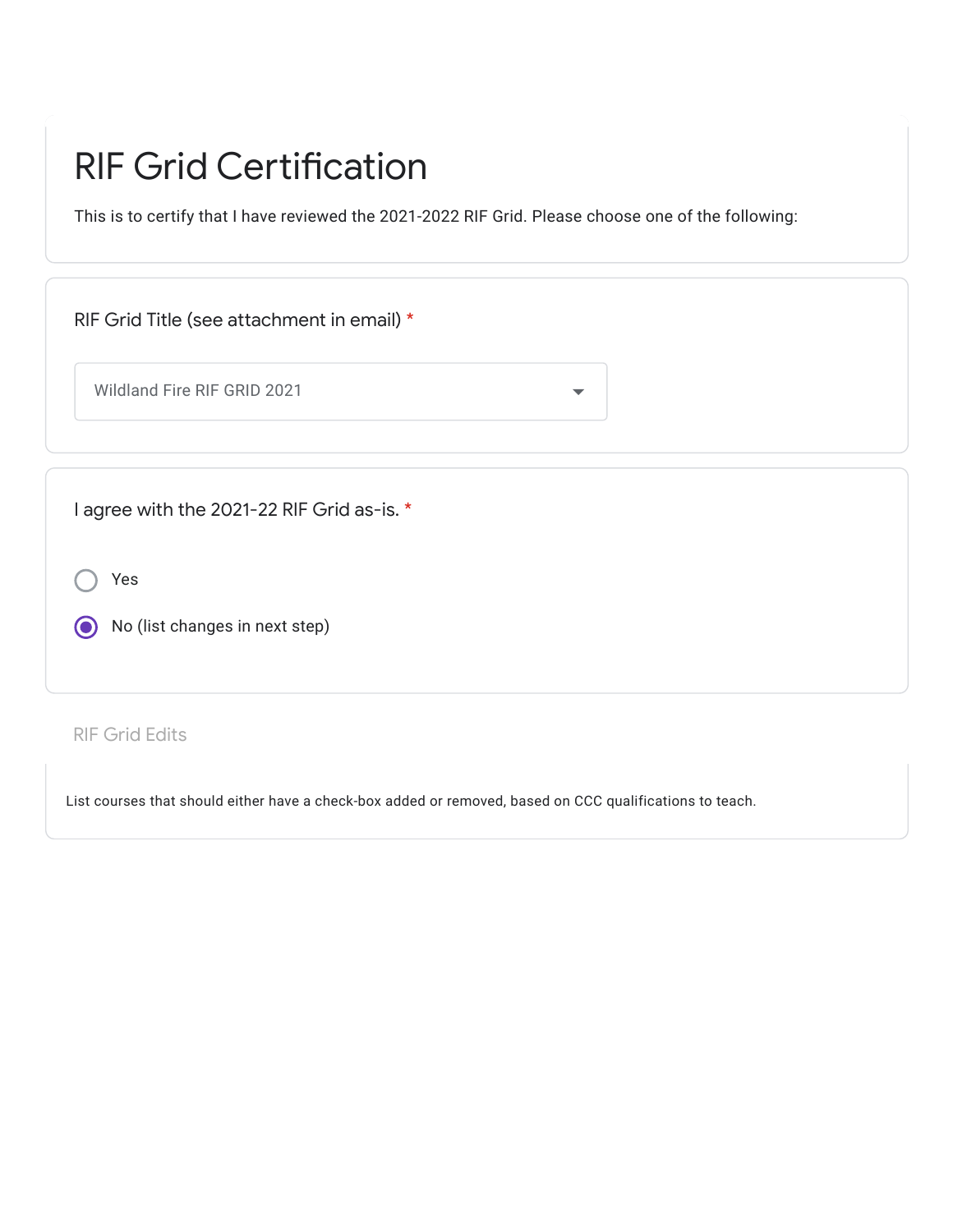## RIF Grid Certification

This is to certify that I have reviewed the 2021-2022 RIF Grid. Please choose one of the following:

| RIF Grid Title (see attachment in email) *        |                      |
|---------------------------------------------------|----------------------|
| Wildland Fire RIF GRID 2021                       | $\blacktriangledown$ |
|                                                   |                      |
| I agree with the 2021-22 RIF Grid as-is. *<br>Yes |                      |
| No (list changes in next step)                    |                      |
|                                                   |                      |

## RIF Grid Edits

List courses that should either have a check-box added or removed, based on CCC qualifications to teach.